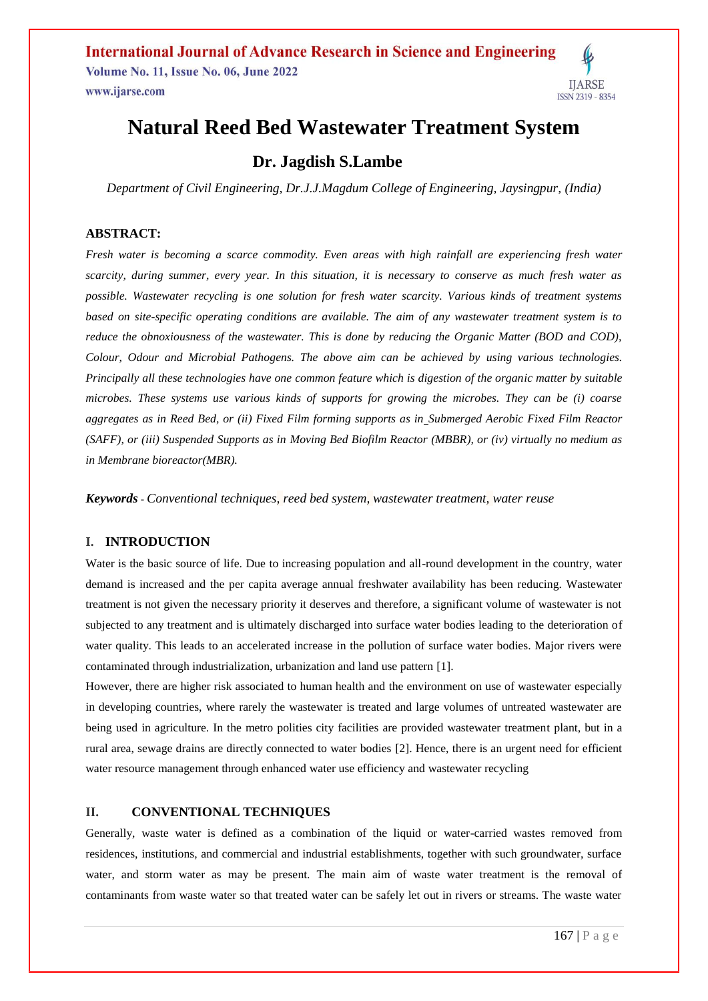

## **Natural Reed Bed Wastewater Treatment System**

### **Dr. Jagdish S.Lambe**

*Department of Civil Engineering, Dr.J.J.Magdum College of Engineering, Jaysingpur, (India)*

#### **ABSTRACT:**

*Fresh water is becoming a scarce commodity. Even areas with high rainfall are experiencing fresh water scarcity, during summer, every year. In this situation, it is necessary to conserve as much fresh water as possible. Wastewater recycling is one solution for fresh water scarcity. Various kinds of treatment systems based on site-specific operating conditions are available. The aim of any wastewater treatment system is to reduce the obnoxiousness of the wastewater. This is done by reducing the Organic Matter (BOD and COD), Colour, Odour and Microbial Pathogens. The above aim can be achieved by using various technologies. Principally all these technologies have one common feature which is digestion of the organic matter by suitable microbes. These systems use various kinds of supports for growing the microbes. They can be (i) coarse aggregates as in Reed Bed, or (ii) Fixed Film forming supports as in [Submerged Aerobic Fixed Film Reactor](https://www.aesarabia.com/submerged-aerobic-fixed-film-reactor-saff/)  [\(SAFF\),](https://www.aesarabia.com/submerged-aerobic-fixed-film-reactor-saff/) or (iii) Suspended Supports as in [Moving Bed Biofilm Reactor](https://dynamixinc.com/anoxic-and-aerobic-mbbr-mixing/) (MBBR), or (iv) virtually no medium as in Membrane bioreactor(MBR).*

*Keywords* - *Conventional techniques, [reed](javascript:;) bed system, [wastewater](javascript:;) treatment, [water](javascript:;) reuse*

#### **I. INTRODUCTION**

Water is the basic source of life. Due to increasing population and all-round development in the country, water demand is increased and the per capita average annual freshwater availability has been reducing. Wastewater treatment is not given the necessary priority it deserves and therefore, a significant volume of wastewater is not subjected to any treatment and is ultimately discharged into surface water bodies leading to the deterioration of water quality. This leads to an accelerated increase in the pollution of surface water bodies. Major rivers were contaminated through industrialization, urbanization and land use pattern [1].

However, there are higher risk associated to human health and the environment on use of wastewater especially in developing countries, where rarely the wastewater is treated and large volumes of untreated wastewater are being used in agriculture. In the metro polities city facilities are provided wastewater treatment plant, but in a rural area, sewage drains are directly connected to water bodies [2]. Hence, there is an urgent need for efficient water resource management through enhanced water use efficiency and wastewater recycling

#### **II. CONVENTIONAL TECHNIQUES**

Generally, waste water is defined as a combination of the liquid or water-carried wastes removed from residences, institutions, and commercial and industrial establishments, together with such groundwater, surface water, and storm water as may be present. The main aim of waste water treatment is the removal of contaminants from waste water so that treated water can be safely let out in rivers or streams. The waste water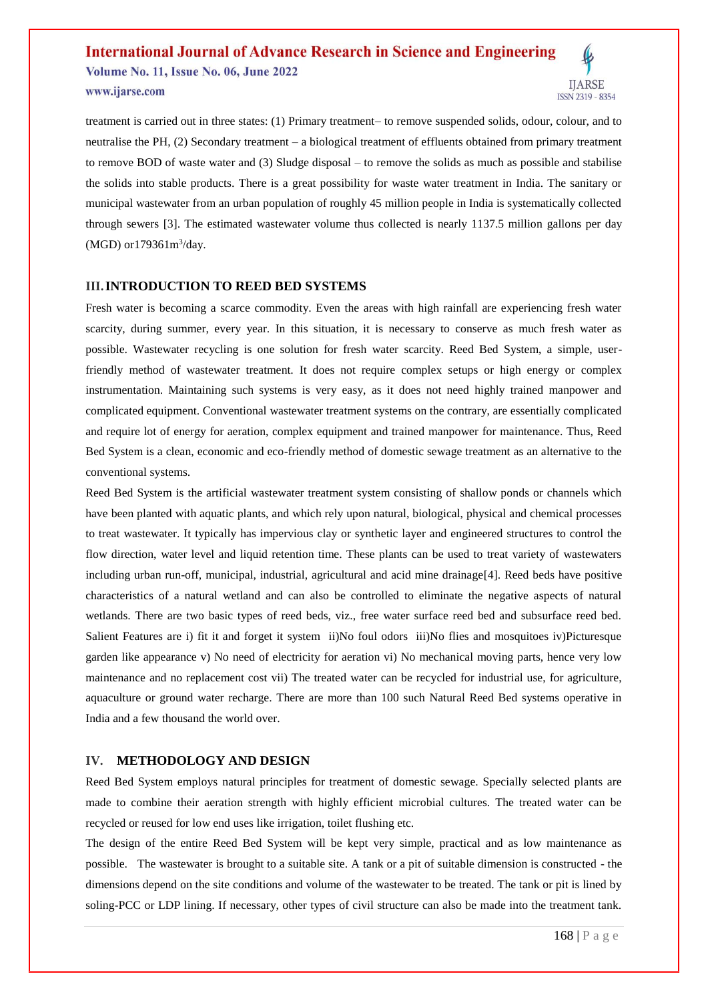# **International Journal of Advance Research in Science and Engineering**

**Volume No. 11, Issue No. 06, June 2022** www.ijarse.com



treatment is carried out in three states: (1) Primary treatment– to remove suspended solids, odour, colour, and to neutralise the PH, (2) Secondary treatment – a biological treatment of effluents obtained from primary treatment to remove BOD of waste water and (3) Sludge disposal – to remove the solids as much as possible and stabilise the solids into stable products. There is a great possibility for waste water treatment in India. The sanitary or municipal wastewater from an urban population of roughly 45 million people in India is systematically collected through sewers [3]. The estimated wastewater volume thus collected is nearly 1137.5 million gallons per day  $(MGD)$  or  $179361 \text{m}^3/\text{day}$ .

#### **III.INTRODUCTION TO REED BED SYSTEMS**

Fresh water is becoming a scarce commodity. Even the areas with high rainfall are experiencing fresh water scarcity, during summer, every year. In this situation, it is necessary to conserve as much fresh water as possible. Wastewater recycling is one solution for fresh water scarcity. Reed Bed System, a simple, userfriendly method of wastewater treatment. It does not require complex setups or high energy or complex instrumentation. Maintaining such systems is very easy, as it does not need highly trained manpower and complicated equipment. Conventional wastewater treatment systems on the contrary, are essentially complicated and require lot of energy for aeration, complex equipment and trained manpower for maintenance. Thus, Reed Bed System is a clean, economic and eco-friendly method of domestic sewage treatment as an alternative to the conventional systems.

Reed Bed System is the artificial wastewater treatment system consisting of shallow ponds or channels which have been planted with aquatic plants, and which rely upon natural, biological, physical and chemical processes to treat wastewater. It typically has impervious clay or synthetic layer and engineered structures to control the flow direction, water level and liquid retention time. These plants can be used to treat variety of wastewaters including urban run-off, municipal, industrial, agricultural and acid mine drainage[4]. Reed beds have positive characteristics of a natural wetland and can also be controlled to eliminate the negative aspects of natural wetlands. There are two basic types of reed beds, viz., free water surface reed bed and subsurface reed bed. Salient Features are i) fit it and forget it system ii)No foul odors iii)No flies and mosquitoes iv)Picturesque garden like appearance v) No need of electricity for aeration vi) No mechanical moving parts, hence very low maintenance and no replacement cost vii) The treated water can be recycled for industrial use, for agriculture, aquaculture or ground water recharge. There are more than 100 such Natural Reed Bed systems operative in India and a few thousand the world over.

#### **IV. METHODOLOGY AND DESIGN**

Reed Bed System employs natural principles for treatment of domestic sewage. Specially selected plants are made to combine their aeration strength with highly efficient microbial cultures. The treated water can be recycled or reused for low end uses like irrigation, toilet flushing etc.

The design of the entire Reed Bed System will be kept very simple, practical and as low maintenance as possible. The wastewater is brought to a suitable site. A tank or a pit of suitable dimension is constructed - the dimensions depend on the site conditions and volume of the wastewater to be treated. The tank or pit is lined by soling-PCC or LDP lining. If necessary, other types of civil structure can also be made into the treatment tank.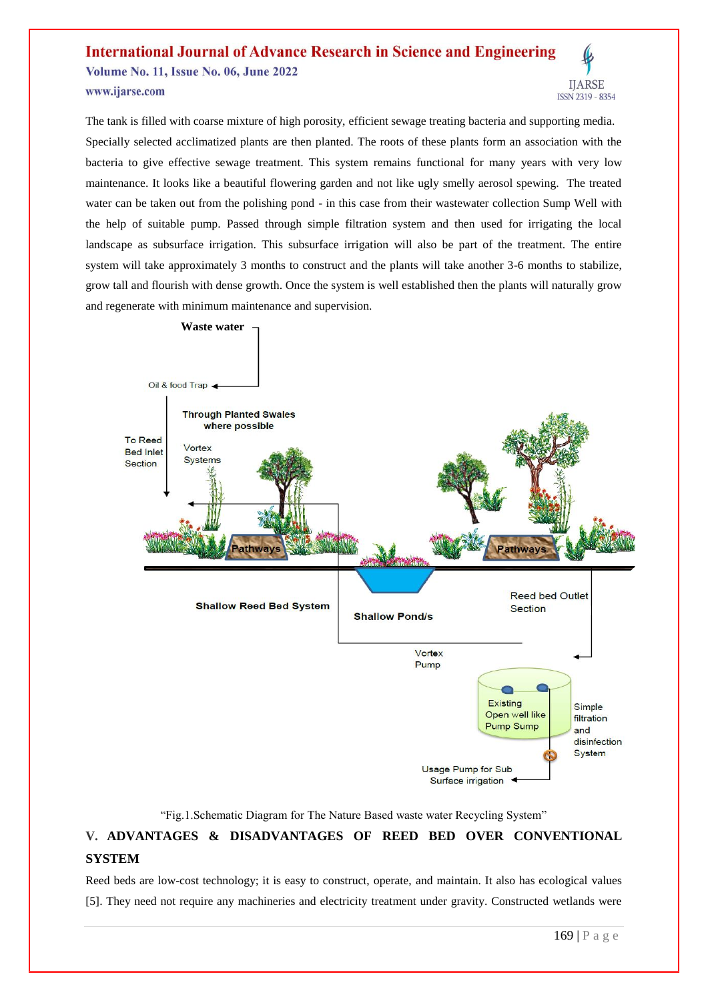#### **International Journal of Advance Research in Science and Engineering Volume No. 11, Issue No. 06, June 2022 IIARSE** www.ijarse.com ISSN 2319 - 8354

The tank is filled with coarse mixture of high porosity, efficient sewage treating bacteria and supporting media. Specially selected acclimatized plants are then planted. The roots of these plants form an association with the bacteria to give effective sewage treatment. This system remains functional for many years with very low maintenance. It looks like a beautiful flowering garden and not like ugly smelly aerosol spewing. The treated water can be taken out from the polishing pond - in this case from their wastewater collection Sump Well with the help of suitable pump. Passed through simple filtration system and then used for irrigating the local landscape as subsurface irrigation. This subsurface irrigation will also be part of the treatment. The entire system will take approximately 3 months to construct and the plants will take another 3-6 months to stabilize, grow tall and flourish with dense growth. Once the system is well established then the plants will naturally grow and regenerate with minimum maintenance and supervision.



"Fig.1.Schematic Diagram for The Nature Based waste water Recycling System"

### **V. ADVANTAGES & DISADVANTAGES OF REED BED OVER CONVENTIONAL SYSTEM**

Reed beds are low-cost technology; it is easy to construct, operate, and maintain. It also has ecological values [5]. They need not require any machineries and electricity treatment under gravity. Constructed wetlands were